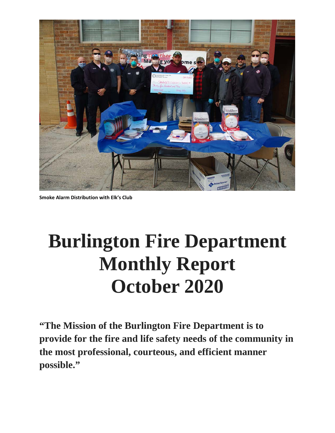

**Smoke Alarm Distribution with Elk's Club**

# **Burlington Fire Department Monthly Report October 2020**

**"The Mission of the Burlington Fire Department is to provide for the fire and life safety needs of the community in the most professional, courteous, and efficient manner possible."**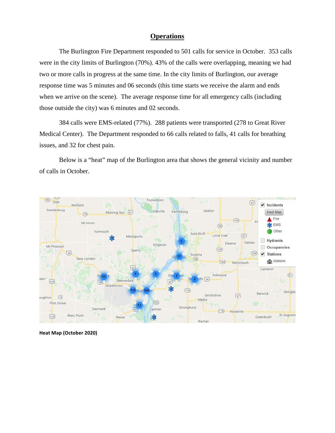#### **Operations**

The Burlington Fire Department responded to 501 calls for service in October. 353 calls were in the city limits of Burlington (70%). 43% of the calls were overlapping, meaning we had two or more calls in progress at the same time. In the city limits of Burlington, our average response time was 5 minutes and 06 seconds (this time starts we receive the alarm and ends when we arrive on the scene). The average response time for all emergency calls (including those outside the city) was 6 minutes and 02 seconds.

384 calls were EMS-related (77%). 288 patients were transported (278 to Great River Medical Center). The Department responded to 66 calls related to falls, 41 calls for breathing issues, and 32 for chest pain.

Below is a "heat" map of the Burlington area that shows the general vicinity and number of calls in October.



**Heat Map (October 2020)**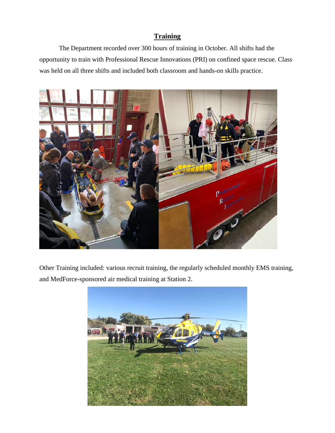### **Training**

The Department recorded over 300 hours of training in October. All shifts had the opportunity to train with Professional Rescue Innovations (PRI) on confined space rescue. Class was held on all three shifts and included both classroom and hands-on skills practice.



Other Training included: various recruit training, the regularly scheduled monthly EMS training, and MedForce-sponsored air medical training at Station 2.

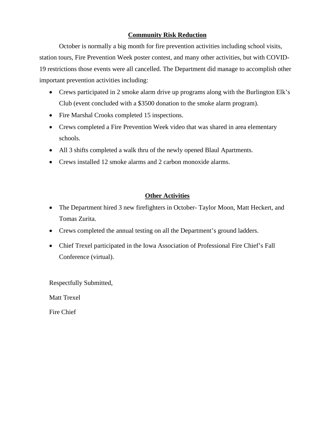#### **Community Risk Reduction**

October is normally a big month for fire prevention activities including school visits, station tours, Fire Prevention Week poster contest, and many other activities, but with COVID-19 restrictions those events were all cancelled. The Department did manage to accomplish other important prevention activities including:

- Crews participated in 2 smoke alarm drive up programs along with the Burlington Elk's Club (event concluded with a \$3500 donation to the smoke alarm program).
- Fire Marshal Crooks completed 15 inspections.
- Crews completed a Fire Prevention Week video that was shared in area elementary schools.
- All 3 shifts completed a walk thru of the newly opened Blaul Apartments.
- Crews installed 12 smoke alarms and 2 carbon monoxide alarms.

### **Other Activities**

- The Department hired 3 new firefighters in October-Taylor Moon, Matt Heckert, and Tomas Zurita.
- Crews completed the annual testing on all the Department's ground ladders.
- Chief Trexel participated in the Iowa Association of Professional Fire Chief's Fall Conference (virtual).

Respectfully Submitted,

Matt Trexel

Fire Chief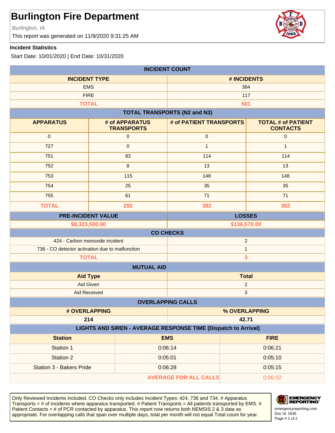Burlington, IA

This report was generated on 11/9/2020 9:31:25 AM

#### **Incident Statistics**

Start Date: 10/01/2020 | End Date: 10/31/2020

| <b>INCIDENT COUNT</b>                                          |                                     |                                     |                         |                                              |  |  |
|----------------------------------------------------------------|-------------------------------------|-------------------------------------|-------------------------|----------------------------------------------|--|--|
| <b>INCIDENT TYPE</b>                                           |                                     | # INCIDENTS                         |                         |                                              |  |  |
| <b>EMS</b>                                                     |                                     | 384                                 |                         |                                              |  |  |
| <b>FIRE</b>                                                    |                                     |                                     | 117                     |                                              |  |  |
| <b>TOTAL</b>                                                   |                                     |                                     | 501                     |                                              |  |  |
|                                                                |                                     | <b>TOTAL TRANSPORTS (N2 and N3)</b> |                         |                                              |  |  |
| <b>APPARATUS</b>                                               | # of APPARATUS<br><b>TRANSPORTS</b> | # of PATIENT TRANSPORTS             |                         | <b>TOTAL # of PATIENT</b><br><b>CONTACTS</b> |  |  |
| $\mathbf 0$                                                    | $\mathbf 0$                         | $\pmb{0}$                           |                         | $\boldsymbol{0}$                             |  |  |
| 727                                                            | $\pmb{0}$                           | $\mathbf{1}$                        |                         | $\mathbf{1}$                                 |  |  |
| 751                                                            | 83                                  | 114                                 |                         | 114                                          |  |  |
| 752                                                            | $\,8\,$                             | 13                                  |                         | 13                                           |  |  |
| 753                                                            | 115                                 | 148                                 |                         | 148                                          |  |  |
| 754                                                            | 25                                  | 35                                  |                         | 35                                           |  |  |
| 755                                                            | 61                                  | 71                                  |                         | 71                                           |  |  |
| <b>TOTAL</b>                                                   | 292                                 | 382                                 |                         | 382                                          |  |  |
|                                                                | <b>PRE-INCIDENT VALUE</b>           |                                     |                         | <b>LOSSES</b>                                |  |  |
| \$8,323,500.00                                                 |                                     | \$136,570.00                        |                         |                                              |  |  |
| <b>CO CHECKS</b>                                               |                                     |                                     |                         |                                              |  |  |
| 424 - Carbon monoxide incident                                 |                                     | $\overline{2}$                      |                         |                                              |  |  |
| 736 - CO detector activation due to malfunction                |                                     |                                     | $\mathbf{1}$            |                                              |  |  |
| <b>TOTAL</b>                                                   |                                     |                                     | $\overline{\mathbf{3}}$ |                                              |  |  |
| <b>MUTUAL AID</b>                                              |                                     |                                     |                         |                                              |  |  |
| <b>Aid Type</b>                                                |                                     | <b>Total</b>                        |                         |                                              |  |  |
| <b>Aid Given</b>                                               |                                     |                                     | $\overline{c}$          |                                              |  |  |
| <b>Aid Received</b>                                            |                                     |                                     | 3                       |                                              |  |  |
|                                                                |                                     | <b>OVERLAPPING CALLS</b>            |                         |                                              |  |  |
| # OVERLAPPING                                                  |                                     | % OVERLAPPING                       |                         |                                              |  |  |
| 214<br>42.71                                                   |                                     |                                     |                         |                                              |  |  |
| LIGHTS AND SIREN - AVERAGE RESPONSE TIME (Dispatch to Arrival) |                                     |                                     |                         |                                              |  |  |
| <b>Station</b>                                                 |                                     | <b>EMS</b>                          |                         | <b>FIRE</b>                                  |  |  |
| Station 1                                                      |                                     | 0:06:14                             |                         | 0:06:21                                      |  |  |
| Station 2                                                      |                                     | 0:05:01                             |                         | 0:05:10                                      |  |  |
| Station 3 - Bakers Pride                                       |                                     | 0:06:28                             |                         | 0:05:15                                      |  |  |
| <b>AVERAGE FOR ALL CALLS</b>                                   |                                     |                                     |                         | 0:06:02                                      |  |  |

Only Reviewed Incidents included. CO Checks only includes Incident Types: 424, 736 and 734. # Apparatus Transports  $=$  # of incidents where apparatus transported. # Patient Transports  $=$  All patients transported by EMS. # Patient Contacts = # of PCR contacted by apparatus. This report now returns both NEMSIS 2 & 3 data as appropriate. For overlapping calls that span over multiple days, total per month will not equal Total count for year.



Doc Id: 1645 emergencyreporting.com Page # 1 of 2

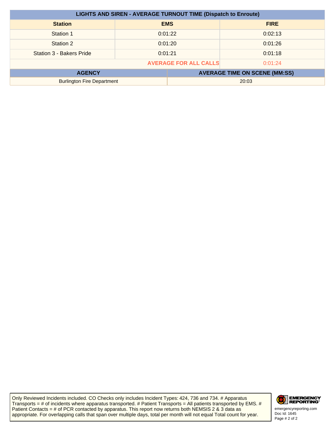| <b>LIGHTS AND SIREN - AVERAGE TURNOUT TIME (Dispatch to Enroute)</b> |            |                                      |             |  |
|----------------------------------------------------------------------|------------|--------------------------------------|-------------|--|
| <b>Station</b>                                                       | <b>EMS</b> |                                      | <b>FIRE</b> |  |
| Station 1                                                            | 0:01:22    |                                      | 0:02:13     |  |
| Station 2                                                            | 0:01:20    |                                      | 0:01:26     |  |
| Station 3 - Bakers Pride                                             | 0:01:21    |                                      | 0:01:18     |  |
| <b>AVERAGE FOR ALL CALLS</b><br>0:01:24                              |            |                                      |             |  |
| <b>AGENCY</b>                                                        |            | <b>AVERAGE TIME ON SCENE (MM:SS)</b> |             |  |
| <b>Burlington Fire Department</b>                                    |            | 20:03                                |             |  |

Only Reviewed Incidents included. CO Checks only includes Incident Types: 424, 736 and 734. # Apparatus Transports = # of incidents where apparatus transported. # Patient Transports = All patients transported by EMS. # Patient Contacts = # of PCR contacted by apparatus. This report now returns both NEMSIS 2 & 3 data as appropriate. For overlapping calls that span over multiple days, total per month will not equal Total count for year.



Doc Id: 1645 emergencyreporting.com Page # 2 of 2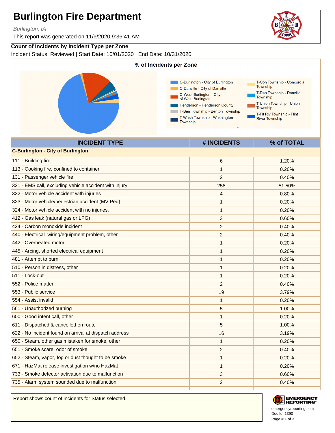Burlington, IA

This report was generated on 11/9/2020 9:36:41 AM

#### **Count of Incidents by Incident Type per Zone**

Incident Status: Reviewed | Start Date: 10/01/2020 | End Date: 10/31/2020



| <b>C-Burlington - City of Burlington</b>               |                |        |
|--------------------------------------------------------|----------------|--------|
| 111 - Building fire                                    | 6              | 1.20%  |
| 113 - Cooking fire, confined to container              | $\mathbf{1}$   | 0.20%  |
| 131 - Passenger vehicle fire                           | $\overline{2}$ | 0.40%  |
| 321 - EMS call, excluding vehicle accident with injury | 258            | 51.50% |
| 322 - Motor vehicle accident with injuries             | 4              | 0.80%  |
| 323 - Motor vehicle/pedestrian accident (MV Ped)       | 1              | 0.20%  |
| 324 - Motor vehicle accident with no injuries.         | $\mathbf{1}$   | 0.20%  |
| 412 - Gas leak (natural gas or LPG)                    | 3              | 0.60%  |
| 424 - Carbon monoxide incident                         | $\overline{c}$ | 0.40%  |
| 440 - Electrical wiring/equipment problem, other       | 2              | 0.40%  |
| 442 - Overheated motor                                 | $\mathbf{1}$   | 0.20%  |
| 445 - Arcing, shorted electrical equipment             | 1              | 0.20%  |
| 481 - Attempt to burn                                  | 1              | 0.20%  |
| 510 - Person in distress, other                        | 1              | 0.20%  |
| 511 - Lock-out                                         | 1              | 0.20%  |
| 552 - Police matter                                    | $\overline{2}$ | 0.40%  |
| 553 - Public service                                   | 19             | 3.79%  |
| 554 - Assist invalid                                   | 1              | 0.20%  |
| 561 - Unauthorized burning                             | 5              | 1.00%  |
| 600 - Good intent call, other                          | 1              | 0.20%  |
| 611 - Dispatched & cancelled en route                  | 5              | 1.00%  |
| 622 - No incident found on arrival at dispatch address | 16             | 3.19%  |
| 650 - Steam, other gas mistaken for smoke, other       | 1              | 0.20%  |
| 651 - Smoke scare, odor of smoke                       | 2              | 0.40%  |
| 652 - Steam, vapor, fog or dust thought to be smoke    | 1              | 0.20%  |
| 671 - HazMat release investigation w/no HazMat         | 1              | 0.20%  |
| 733 - Smoke detector activation due to malfunction     | 3              | 0.60%  |
| 735 - Alarm system sounded due to malfunction          | $\overline{2}$ | 0.40%  |
|                                                        |                |        |

Report shows count of incidents for Status selected.



Doc Id: 1390 emergencyreporting.com Page # 1 of 3

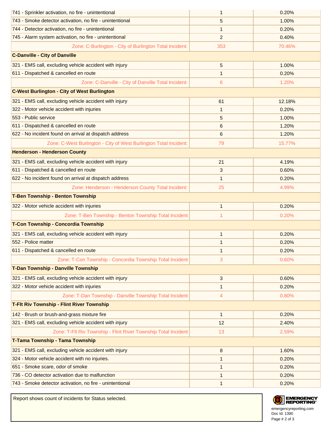| 741 - Sprinkler activation, no fire - unintentional               | 1            | 0.20%  |  |  |
|-------------------------------------------------------------------|--------------|--------|--|--|
| 743 - Smoke detector activation, no fire - unintentional          | 5            | 1.00%  |  |  |
| 744 - Detector activation, no fire - unintentional                | 1            | 0.20%  |  |  |
| 745 - Alarm system activation, no fire - unintentional            | 2            | 0.40%  |  |  |
| Zone: C-Burlington - City of Burlington Total Incident:           | 353          | 70.46% |  |  |
| <b>C-Danville - City of Danville</b>                              |              |        |  |  |
| 321 - EMS call, excluding vehicle accident with injury            | 5            | 1.00%  |  |  |
| 611 - Dispatched & cancelled en route                             | 1            | 0.20%  |  |  |
| Zone: C-Danville - City of Danville Total Incident:               | 6            | 1.20%  |  |  |
| <b>C-West Burlington - City of West Burlington</b>                |              |        |  |  |
| 321 - EMS call, excluding vehicle accident with injury            | 61           | 12.18% |  |  |
| 322 - Motor vehicle accident with injuries                        | 1            | 0.20%  |  |  |
| 553 - Public service                                              | 5            | 1.00%  |  |  |
| 611 - Dispatched & cancelled en route                             | 6            | 1.20%  |  |  |
| 622 - No incident found on arrival at dispatch address            | 6            | 1.20%  |  |  |
| Zone: C-West Burlington - City of West Burlington Total Incident: | 79           | 15.77% |  |  |
| <b>Henderson - Henderson County</b>                               |              |        |  |  |
| 321 - EMS call, excluding vehicle accident with injury            | 21           | 4.19%  |  |  |
| 611 - Dispatched & cancelled en route                             | 3            | 0.60%  |  |  |
| 622 - No incident found on arrival at dispatch address            | 1            | 0.20%  |  |  |
| Zone: Henderson - Henderson County Total Incident:                | 25           | 4.99%  |  |  |
| <b>T-Ben Township - Benton Township</b>                           |              |        |  |  |
| 322 - Motor vehicle accident with injuries                        | $\mathbf{1}$ | 0.20%  |  |  |
| Zone: T-Ben Township - Benton Township Total Incident:            | 1            | 0.20%  |  |  |
| T-Con Township - Concordia Township                               |              |        |  |  |
| 321 - EMS call, excluding vehicle accident with injury            | $\mathbf{1}$ | 0.20%  |  |  |
| 552 - Police matter                                               | 1            | 0.20%  |  |  |
| 611 - Dispatched & cancelled en route                             | 1            | 0.20%  |  |  |
| Zone: T-Con Township - Concordia Township Total Incident:         | 3            | 0.60%  |  |  |
| T-Dan Township - Danville Township                                |              |        |  |  |
| 321 - EMS call, excluding vehicle accident with injury            | 3            | 0.60%  |  |  |
| 322 - Motor vehicle accident with injuries                        | 1            | 0.20%  |  |  |
| Zone: T-Dan Township - Danville Township Total Incident:          | 4            | 0.80%  |  |  |
| <b>T-Fit Riv Township - Flint River Township</b>                  |              |        |  |  |
| 142 - Brush or brush-and-grass mixture fire                       | 1            | 0.20%  |  |  |
| 321 - EMS call, excluding vehicle accident with injury            | 12           | 2.40%  |  |  |
| Zone: T-Flt Riv Township - Flint River Township Total Incident:   | 13           | 2.59%  |  |  |
| T-Tama Township - Tama Township                                   |              |        |  |  |
| 321 - EMS call, excluding vehicle accident with injury            | 8            | 1.60%  |  |  |
| 324 - Motor vehicle accident with no injuries.                    | 1            | 0.20%  |  |  |
| 651 - Smoke scare, odor of smoke                                  | 1            | 0.20%  |  |  |
| 736 - CO detector activation due to malfunction                   | 1            | 0.20%  |  |  |
| 743 - Smoke detector activation, no fire - unintentional          | 1            | 0.20%  |  |  |

Report shows count of incidents for Status selected.



Doc Id: 1390 emergencyreporting.com Page # 2 of 3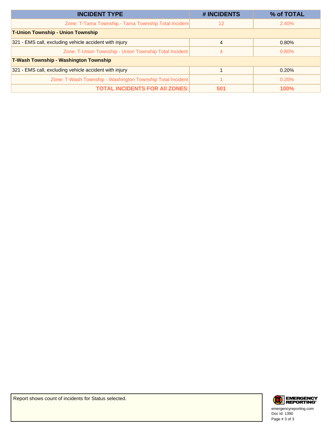| <b>INCIDENT TYPE</b>                                       | # INCIDENTS | % of TOTAL  |  |  |  |
|------------------------------------------------------------|-------------|-------------|--|--|--|
| Zone: T-Tama Township - Tama Township Total Incident       | 12          | 2.40%       |  |  |  |
| <b>T-Union Township - Union Township</b>                   |             |             |  |  |  |
| 321 - EMS call, excluding vehicle accident with injury     | 4           | 0.80%       |  |  |  |
| Zone: T-Union Township - Union Township Total Incident     | 4           | $0.80\%$    |  |  |  |
| <b>T-Wash Township - Washington Township</b>               |             |             |  |  |  |
| 321 - EMS call, excluding vehicle accident with injury     |             | 0.20%       |  |  |  |
| Zone: T-Wash Township - Washington Township Total Incident |             | 0.20%       |  |  |  |
| <b>TOTAL INCIDENTS FOR AII ZONES:</b>                      | 501         | <b>100%</b> |  |  |  |



Doc Id: 1390 emergencyreporting.com Page # 3 of 3

Report shows count of incidents for Status selected.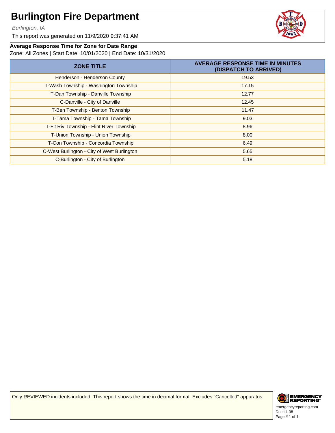Burlington, IA

This report was generated on 11/9/2020 9:37:41 AM



#### **Average Response Time for Zone for Date Range**

Zone: All Zones | Start Date: 10/01/2020 | End Date: 10/31/2020

| <b>ZONE TITLE</b>                           | <b>AVERAGE RESPONSE TIME IN MINUTES</b><br>(DISPATCH TO ARRIVED) |
|---------------------------------------------|------------------------------------------------------------------|
| Henderson - Henderson County                | 19.53                                                            |
| T-Wash Township - Washington Township       | 17.15                                                            |
| T-Dan Township - Danville Township          | 12.77                                                            |
| C-Danville - City of Danville               | 12.45                                                            |
| T-Ben Township - Benton Township            | 11.47                                                            |
| T-Tama Township - Tama Township             | 9.03                                                             |
| T-Flt Riv Township - Flint River Township   | 8.96                                                             |
| T-Union Township - Union Township           | 8.00                                                             |
| T-Con Township - Concordia Township         | 6.49                                                             |
| C-West Burlington - City of West Burlington | 5.65                                                             |
| C-Burlington - City of Burlington           | 5.18                                                             |

Only REVIEWED incidents included This report shows the time in decimal format. Excludes "Cancelled" apparatus.



Doc Id: 38 emergencyreporting.com Page # 1 of 1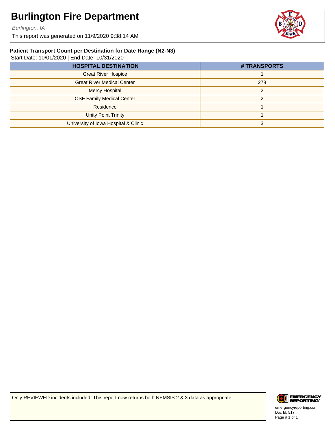Burlington, IA

This report was generated on 11/9/2020 9:38:14 AM



#### **Patient Transport Count per Destination for Date Range (N2-N3)**

Start Date: 10/01/2020 | End Date: 10/31/2020

| # TRANSPORTS |
|--------------|
|              |
| 278          |
| C            |
| C            |
|              |
|              |
|              |
|              |

Only REVIEWED incidents included. This report now returns both NEMSIS 2 & 3 data as appropriate.



Doc Id: 517 emergencyreporting.com Page # 1 of 1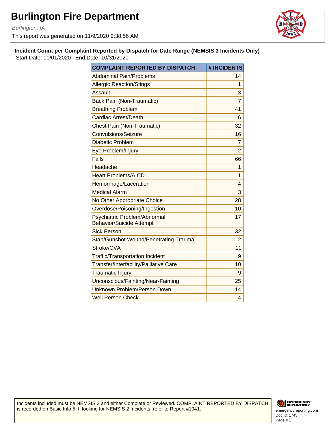Burlington, IA

This report was generated on 11/9/2020 9:38:56 AM



**Incident Count per Complaint Reported by Dispatch for Date Range (NEMSIS 3 Incidents Only)**

Start Date: 10/01/2020 | End Date: 10/31/2020

| <b>COMPLAINT REPORTED BY DISPATCH</b>                           | # INCIDENTS    |
|-----------------------------------------------------------------|----------------|
| <b>Abdominal Pain/Problems</b>                                  | 14             |
| <b>Allergic Reaction/Stings</b>                                 | 1              |
| Assault                                                         | 3              |
| <b>Back Pain (Non-Traumatic)</b>                                | 7              |
| <b>Breathing Problem</b>                                        | 41             |
| <b>Cardiac Arrest/Death</b>                                     | 6              |
| <b>Chest Pain (Non-Traumatic)</b>                               | 32             |
| Convulsions/Seizure                                             | 16             |
| <b>Diabetic Problem</b>                                         | 7              |
| Eye Problem/Injury                                              | $\overline{2}$ |
| <b>Falls</b>                                                    | 66             |
| Headache                                                        | 1              |
| <b>Heart Problems/AICD</b>                                      | 1              |
| Hemorrhage/Laceration                                           | 4              |
| <b>Medical Alarm</b>                                            | 3              |
| No Other Appropriate Choice                                     | 28             |
| Overdose/Poisoning/Ingestion                                    | 10             |
| Psychiatric Problem/Abnormal<br><b>Behavior/Suicide Attempt</b> | 17             |
| <b>Sick Person</b>                                              | 32             |
| Stab/Gunshot Wound/Penetrating Trauma                           | $\overline{2}$ |
| Stroke/CVA                                                      | 11             |
| <b>Traffic/Transportation Incident</b>                          | 9              |
| Transfer/Interfacility/Palliative Care                          | 10             |
| <b>Traumatic Injury</b>                                         | 9              |
| Unconscious/Fainting/Near-Fainting                              | 25             |
| Unknown Problem/Person Down                                     | 14             |
| <b>Well Person Check</b>                                        | 4              |

Incidents included must be NEMSIS 3 and either Complete or Reviewed. COMPLAINT REPORTED BY DISPATCH is recorded on Basic Info 5. If looking for NEMSIS 2 Incidents, refer to Report #1041.

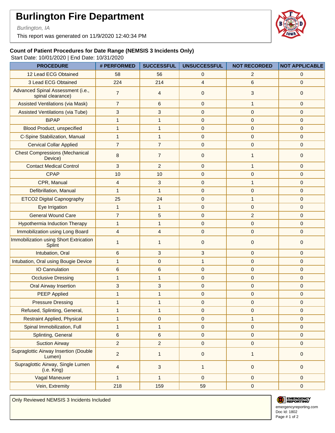Burlington, IA

This report was generated on 11/9/2020 12:40:34 PM



### **Count of Patient Procedures for Date Range (NEMSIS 3 Incidents Only)**

Start Date: 10/01/2020 | End Date: 10/31/2020

| <b>PROCEDURE</b>                                        | # PERFORMED    | <b>SUCCESSFUL</b> | <b>UNSUCCESSFUL</b> | <b>NOT RECORDED</b> | <b>NOT APPLICABLE</b> |
|---------------------------------------------------------|----------------|-------------------|---------------------|---------------------|-----------------------|
| 12 Lead ECG Obtained                                    | 58             | 56                | 0                   | $\overline{2}$      | $\mathbf 0$           |
| 3 Lead ECG Obtained                                     | 224            | 214               | $\overline{4}$      | 6                   | $\mathbf{0}$          |
| Advanced Spinal Assessment (i.e.,<br>spinal clearance)  | $\overline{7}$ | $\overline{4}$    | $\mathbf 0$         | 3                   | $\mathbf 0$           |
| <b>Assisted Ventilations (via Mask)</b>                 | $\overline{7}$ | 6                 | $\mathbf 0$         | $\mathbf{1}$        | $\mathbf{0}$          |
| <b>Assisted Ventilations (via Tube)</b>                 | 3              | 3                 | $\mathbf{0}$        | $\pmb{0}$           | $\mathbf{0}$          |
| <b>BiPAP</b>                                            | $\mathbf{1}$   | $\mathbf{1}$      | $\pmb{0}$           | $\pmb{0}$           | $\mathbf{0}$          |
| Blood Product, unspecified                              | $\mathbf{1}$   | $\mathbf{1}$      | $\mathbf{0}$        | $\mathbf 0$         | $\mathbf{0}$          |
| <b>C-Spine Stabilization, Manual</b>                    | $\mathbf{1}$   | 1                 | $\mathbf 0$         | $\pmb{0}$           | $\mathbf{0}$          |
| <b>Cervical Collar Applied</b>                          | $\overline{7}$ | $\overline{7}$    | $\mathbf{0}$        | $\pmb{0}$           | $\mathbf{0}$          |
| <b>Chest Compressions (Mechanical</b><br>Device)        | 8              | $\overline{7}$    | $\mathbf{0}$        | $\mathbf{1}$        | $\mathbf 0$           |
| <b>Contact Medical Control</b>                          | 3              | $\overline{2}$    | $\mathbf 0$         | $\mathbf{1}$        | $\mathbf{0}$          |
| <b>CPAP</b>                                             | 10             | 10                | $\mathbf{0}$        | $\pmb{0}$           | $\mathbf{0}$          |
| CPR, Manual                                             | 4              | 3                 | $\mathbf 0$         | $\mathbf{1}$        | $\mathbf{0}$          |
| Defibrillation, Manual                                  | $\mathbf{1}$   | $\mathbf{1}$      | $\mathbf{0}$        | $\pmb{0}$           | $\mathbf{0}$          |
| <b>ETCO2 Digital Capnography</b>                        | 25             | 24                | $\mathbf 0$         | $\mathbf{1}$        | $\mathbf{0}$          |
| Eye Irrigation                                          | $\mathbf{1}$   | $\mathbf{1}$      | $\mathbf{0}$        | $\mathbf 0$         | $\mathbf{0}$          |
| <b>General Wound Care</b>                               | $\overline{7}$ | 5                 | $\mathbf 0$         | $\overline{c}$      | $\mathbf{0}$          |
| <b>Hypothermia Induction Therapy</b>                    | $\mathbf{1}$   | $\mathbf{1}$      | $\mathbf{0}$        | $\pmb{0}$           | $\mathbf{0}$          |
| Immobilization using Long Board                         | 4              | 4                 | $\mathbf 0$         | $\pmb{0}$           | $\mathbf 0$           |
| Immobilization using Short Extrication<br><b>Splint</b> | 1              | 1                 | $\mathbf 0$         | $\mathbf 0$         | $\mathbf 0$           |
| Intubation, Oral                                        | 6              | 3                 | 3                   | $\mathbf{0}$        | $\mathbf{0}$          |
| Intubation, Oral using Bougie Device                    | $\mathbf{1}$   | 0                 | $\mathbf{1}$        | $\pmb{0}$           | $\mathbf{0}$          |
| <b>IO Cannulation</b>                                   | $\,6\,$        | 6                 | $\mathbf 0$         | $\pmb{0}$           | $\mathbf{0}$          |
| <b>Occlusive Dressing</b>                               | $\mathbf{1}$   | $\mathbf{1}$      | $\mathbf 0$         | $\pmb{0}$           | $\mathbf{0}$          |
| <b>Oral Airway Insertion</b>                            | 3              | 3                 | 0                   | $\pmb{0}$           | $\mathbf{0}$          |
| <b>PEEP Applied</b>                                     | $\mathbf{1}$   | $\mathbf{1}$      | $\pmb{0}$           | $\pmb{0}$           | $\mathbf{0}$          |
| <b>Pressure Dressing</b>                                | $\mathbf{1}$   | $\mathbf{1}$      | $\mathbf 0$         | $\pmb{0}$           | $\mathbf{0}$          |
| Refused, Splinting, General,                            | $\mathbf{1}$   | 1                 | 0                   | 0                   | $\mathbf 0$           |
| <b>Restraint Applied, Physical</b>                      | $\mathbf{1}$   | $\mathbf 0$       | $\overline{0}$      | $\mathbf{1}$        | $\mathbf{0}$          |
| Spinal Immobilization, Full                             | $\mathbf{1}$   | $\mathbf{1}$      | $\mathbf 0$         | $\pmb{0}$           | $\mathbf 0$           |
| Splinting, General                                      | $\,6\,$        | 6                 | $\mathbf 0$         | $\mathbf 0$         | $\mathbf{0}$          |
| <b>Suction Airway</b>                                   | $\overline{a}$ | $\overline{2}$    | $\mathbf 0$         | $\pmb{0}$           | $\mathbf{0}$          |
| <b>Supraglottic Airway Insertion (Double</b><br>Lumen)  | $\overline{2}$ | $\mathbf{1}$      | $\mathbf 0$         | $\mathbf{1}$        | $\mathbf 0$           |
| Supraglottic Airway, Single Lumen<br>(i.e. King)        | 4              | 3                 | $\mathbf{1}$        | $\pmb{0}$           | $\mathbf 0$           |
| Vagal Maneuver                                          | $\mathbf{1}$   | $\mathbf{1}$      | $\mathbf 0$         | $\mathbf 0$         | $\mathbf{0}$          |
| Vein, Extremity                                         | 218            | 159               | 59                  | $\pmb{0}$           | $\pmb{0}$             |

Only Reviewed NEMSIS 3 Incidents Included



Doc Id: 1802 Page # 1 of 2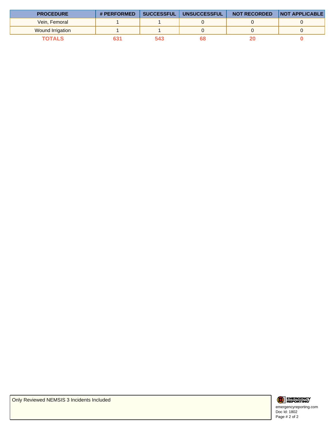| <b>PROCEDURE</b> | # PERFORMED | <b>SUCCESSFUL</b> | <b>UNSUCCESSFUL</b> | <b>NOT RECORDED</b> | <b>INOT APPLICABLE</b> |
|------------------|-------------|-------------------|---------------------|---------------------|------------------------|
| Vein, Femoral    |             |                   |                     |                     |                        |
| Wound Irrigation |             |                   |                     |                     |                        |
| <b>TOTALS</b>    |             | 74 K              |                     |                     |                        |